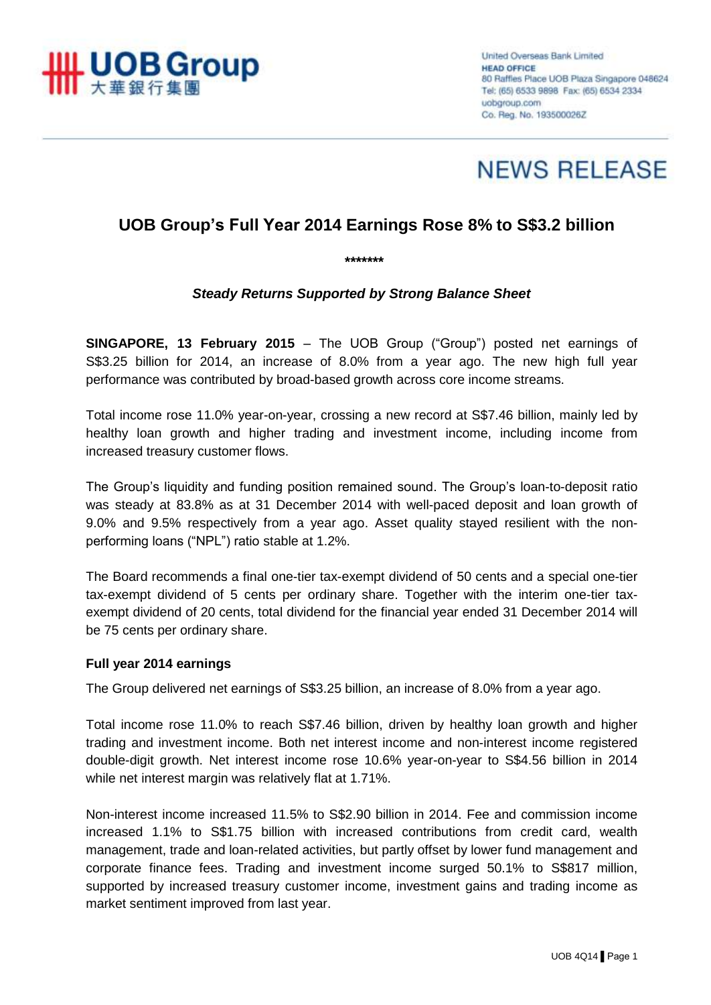



# **UOB Group's Full Year 2014 Earnings Rose 8% to S\$3.2 billion**

*\*\*\*\*\*\*\**

## *Steady Returns Supported by Strong Balance Sheet*

**SINGAPORE, 13 February 2015** – The UOB Group ("Group") posted net earnings of S\$3.25 billion for 2014, an increase of 8.0% from a year ago. The new high full year performance was contributed by broad-based growth across core income streams.

Total income rose 11.0% year-on-year, crossing a new record at S\$7.46 billion, mainly led by healthy loan growth and higher trading and investment income, including income from increased treasury customer flows.

The Group's liquidity and funding position remained sound. The Group's loan-to-deposit ratio was steady at 83.8% as at 31 December 2014 with well-paced deposit and loan growth of 9.0% and 9.5% respectively from a year ago. Asset quality stayed resilient with the nonperforming loans ("NPL") ratio stable at 1.2%.

The Board recommends a final one-tier tax-exempt dividend of 50 cents and a special one-tier tax-exempt dividend of 5 cents per ordinary share. Together with the interim one-tier taxexempt dividend of 20 cents, total dividend for the financial year ended 31 December 2014 will be 75 cents per ordinary share.

## **Full year 2014 earnings**

The Group delivered net earnings of S\$3.25 billion, an increase of 8.0% from a year ago.

Total income rose 11.0% to reach S\$7.46 billion, driven by healthy loan growth and higher trading and investment income. Both net interest income and non-interest income registered double-digit growth. Net interest income rose 10.6% year-on-year to S\$4.56 billion in 2014 while net interest margin was relatively flat at 1.71%.

Non-interest income increased 11.5% to S\$2.90 billion in 2014. Fee and commission income increased 1.1% to S\$1.75 billion with increased contributions from credit card, wealth management, trade and loan-related activities, but partly offset by lower fund management and corporate finance fees. Trading and investment income surged 50.1% to S\$817 million, supported by increased treasury customer income, investment gains and trading income as market sentiment improved from last year.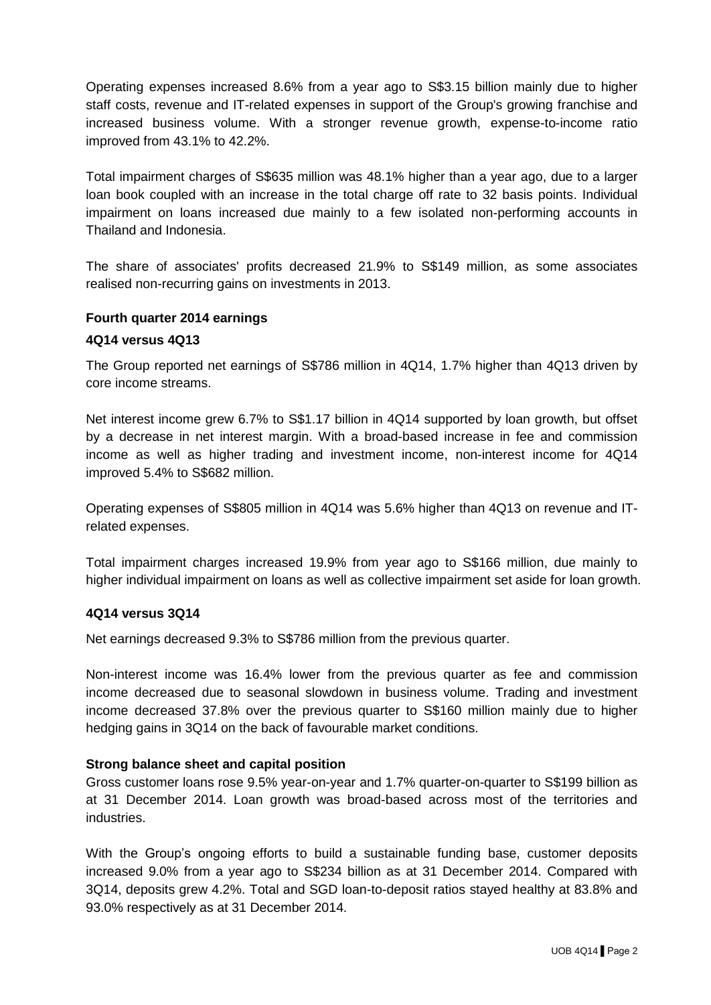Operating expenses increased 8.6% from a year ago to S\$3.15 billion mainly due to higher staff costs, revenue and IT-related expenses in support of the Group's growing franchise and increased business volume. With a stronger revenue growth, expense-to-income ratio improved from 43.1% to 42.2%.

Total impairment charges of S\$635 million was 48.1% higher than a year ago, due to a larger loan book coupled with an increase in the total charge off rate to 32 basis points. Individual impairment on loans increased due mainly to a few isolated non-performing accounts in Thailand and Indonesia.

The share of associates' profits decreased 21.9% to S\$149 million, as some associates realised non-recurring gains on investments in 2013.

### **Fourth quarter 2014 earnings**

#### **4Q14 versus 4Q13**

The Group reported net earnings of S\$786 million in 4Q14, 1.7% higher than 4Q13 driven by core income streams.

Net interest income grew 6.7% to S\$1.17 billion in 4Q14 supported by loan growth, but offset by a decrease in net interest margin. With a broad-based increase in fee and commission income as well as higher trading and investment income, non-interest income for 4Q14 improved 5.4% to S\$682 million.

Operating expenses of S\$805 million in 4Q14 was 5.6% higher than 4Q13 on revenue and ITrelated expenses.

Total impairment charges increased 19.9% from year ago to S\$166 million, due mainly to higher individual impairment on loans as well as collective impairment set aside for loan growth.

#### **4Q14 versus 3Q14**

Net earnings decreased 9.3% to S\$786 million from the previous quarter.

Non-interest income was 16.4% lower from the previous quarter as fee and commission income decreased due to seasonal slowdown in business volume. Trading and investment income decreased 37.8% over the previous quarter to S\$160 million mainly due to higher hedging gains in 3Q14 on the back of favourable market conditions.

## **Strong balance sheet and capital position**

Gross customer loans rose 9.5% year-on-year and 1.7% quarter-on-quarter to S\$199 billion as at 31 December 2014. Loan growth was broad-based across most of the territories and industries.

With the Group's ongoing efforts to build a sustainable funding base, customer deposits increased 9.0% from a year ago to S\$234 billion as at 31 December 2014. Compared with 3Q14, deposits grew 4.2%. Total and SGD loan-to-deposit ratios stayed healthy at 83.8% and 93.0% respectively as at 31 December 2014.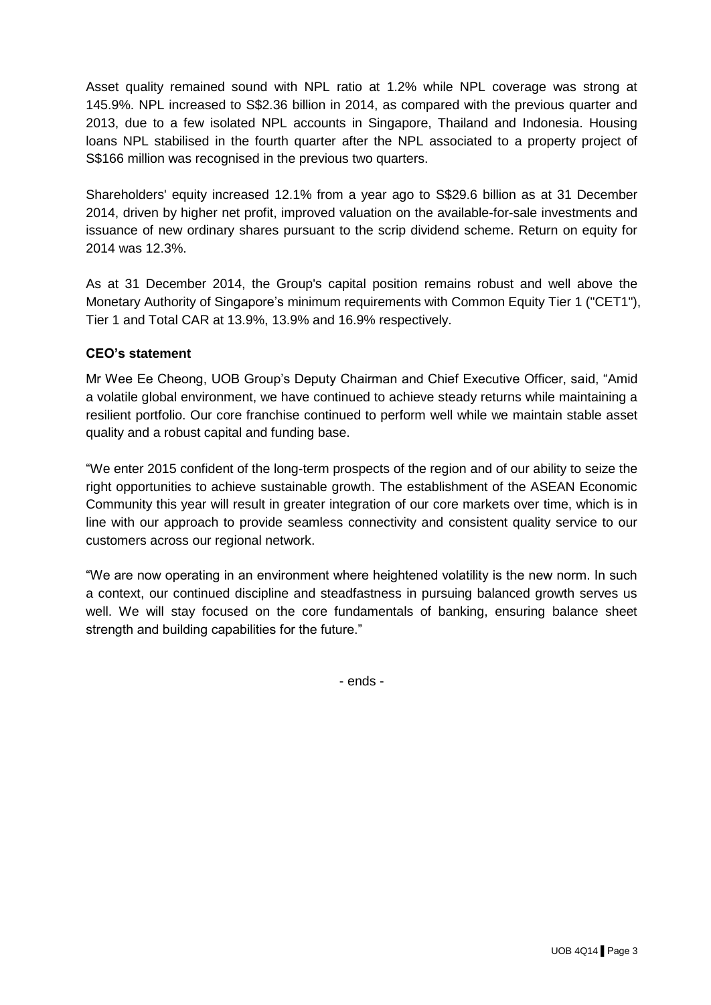Asset quality remained sound with NPL ratio at 1.2% while NPL coverage was strong at 145.9%. NPL increased to S\$2.36 billion in 2014, as compared with the previous quarter and 2013, due to a few isolated NPL accounts in Singapore, Thailand and Indonesia. Housing loans NPL stabilised in the fourth quarter after the NPL associated to a property project of S\$166 million was recognised in the previous two quarters.

Shareholders' equity increased 12.1% from a year ago to S\$29.6 billion as at 31 December 2014, driven by higher net profit, improved valuation on the available-for-sale investments and issuance of new ordinary shares pursuant to the scrip dividend scheme. Return on equity for 2014 was 12.3%.

As at 31 December 2014, the Group's capital position remains robust and well above the Monetary Authority of Singapore's minimum requirements with Common Equity Tier 1 ("CET1"), Tier 1 and Total CAR at 13.9%, 13.9% and 16.9% respectively.

## **CEO's statement**

Mr Wee Ee Cheong, UOB Group's Deputy Chairman and Chief Executive Officer, said, "Amid a volatile global environment, we have continued to achieve steady returns while maintaining a resilient portfolio. Our core franchise continued to perform well while we maintain stable asset quality and a robust capital and funding base.

"We enter 2015 confident of the long-term prospects of the region and of our ability to seize the right opportunities to achieve sustainable growth. The establishment of the ASEAN Economic Community this year will result in greater integration of our core markets over time, which is in line with our approach to provide seamless connectivity and consistent quality service to our customers across our regional network.

"We are now operating in an environment where heightened volatility is the new norm. In such a context, our continued discipline and steadfastness in pursuing balanced growth serves us well. We will stay focused on the core fundamentals of banking, ensuring balance sheet strength and building capabilities for the future."

- ends -